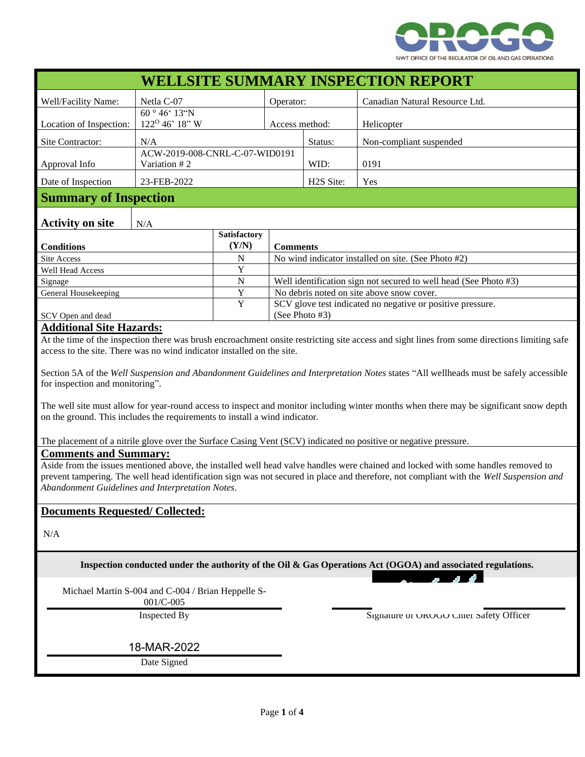

| <b>WELLSITE SUMMARY INSPECTION REPORT</b>                                                                                                                                                                                                                 |                                                                   |                       |                                                                              |                         |                                |
|-----------------------------------------------------------------------------------------------------------------------------------------------------------------------------------------------------------------------------------------------------------|-------------------------------------------------------------------|-----------------------|------------------------------------------------------------------------------|-------------------------|--------------------------------|
| Well/Facility Name:                                                                                                                                                                                                                                       | Netla C-07                                                        |                       | Operator:                                                                    |                         | Canadian Natural Resource Ltd. |
| Location of Inspection:                                                                                                                                                                                                                                   | $60^{\circ} 46^{\circ} 13^{\circ}N$<br>122 <sup>0</sup> 46' 18" W |                       | Access method:                                                               |                         | Helicopter                     |
| Site Contractor:                                                                                                                                                                                                                                          | N/A                                                               |                       | Status:                                                                      | Non-compliant suspended |                                |
| Approval Info                                                                                                                                                                                                                                             | ACW-2019-008-CNRL-C-07-WID0191<br>Variation #2                    |                       |                                                                              | WID:                    | 0191                           |
| Date of Inspection                                                                                                                                                                                                                                        | 23-FEB-2022                                                       |                       | H <sub>2</sub> S Site:                                                       | Yes                     |                                |
| <b>Summary of Inspection</b>                                                                                                                                                                                                                              |                                                                   |                       |                                                                              |                         |                                |
| <b>Activity on site</b>                                                                                                                                                                                                                                   | N/A                                                               |                       |                                                                              |                         |                                |
| <b>Conditions</b>                                                                                                                                                                                                                                         |                                                                   | Satisfactory<br>(Y/N) | <b>Comments</b>                                                              |                         |                                |
| <b>Site Access</b>                                                                                                                                                                                                                                        |                                                                   | N                     | No wind indicator installed on site. (See Photo #2)                          |                         |                                |
| <b>Well Head Access</b>                                                                                                                                                                                                                                   |                                                                   | Y                     |                                                                              |                         |                                |
| Signage                                                                                                                                                                                                                                                   |                                                                   | $\mathbf N$           | Well identification sign not secured to well head (See Photo #3)             |                         |                                |
| General Housekeeping                                                                                                                                                                                                                                      |                                                                   | Y                     | No debris noted on site above snow cover.                                    |                         |                                |
| SCV Open and dead                                                                                                                                                                                                                                         |                                                                   | $\overline{Y}$        | SCV glove test indicated no negative or positive pressure.<br>(See Photo #3) |                         |                                |
| <b>Additional Site Hazards:</b><br>At the time of the inspection there was brush encroachment onsite restricting site access and sight lines from some directions limiting safe<br>access to the site. There was no wind indicator installed on the site. |                                                                   |                       |                                                                              |                         |                                |
| Section 5A of the Well Suspension and Abandonment Guidelines and Interpretation Notes states "All wellheads must be safely accessible                                                                                                                     |                                                                   |                       |                                                                              |                         |                                |
| for inspection and monitoring".                                                                                                                                                                                                                           |                                                                   |                       |                                                                              |                         |                                |
| The well site must allow for year-round access to inspect and monitor including winter months when there may be significant snow depth<br>on the ground. This includes the requirements to install a wind indicator.                                      |                                                                   |                       |                                                                              |                         |                                |
| The placement of a nitrile glove over the Surface Casing Vent (SCV) indicated no positive or negative pressure.                                                                                                                                           |                                                                   |                       |                                                                              |                         |                                |
| <b>Comments and Summary:</b>                                                                                                                                                                                                                              |                                                                   |                       |                                                                              |                         |                                |

Aside from the issues mentioned above, the installed well head valve handles were chained and locked with some handles removed to prevent tampering. The well head identification sign was not secured in place and therefore, not compliant with the *Well Suspension and Abandonment Guidelines and Interpretation Notes*.

## **Documents Requested/ Collected:**

N/A

**Inspection conducted under the authority of the Oil & Gas Operations Act (OGOA) and associated regulations.**

Michael Martin S-004 and C-004 / Brian Heppelle S-

001/C-005

Inspected By Signature of OROGO Chief Safety Officer

18-MAR-2022

Date Signed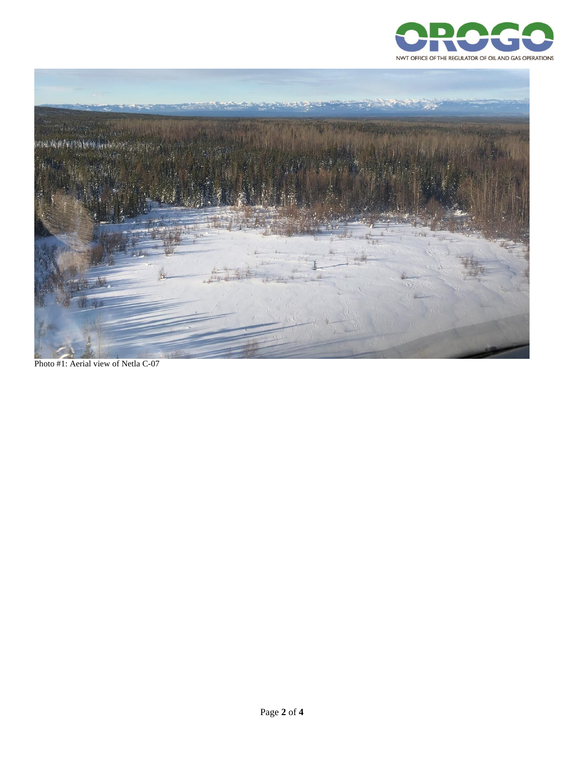



Photo #1: Aerial view of Netla C-07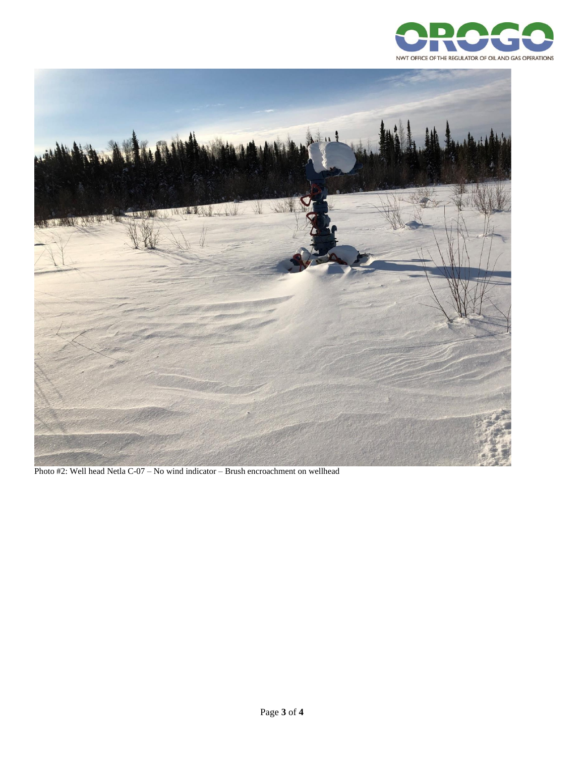



Photo #2: Well head Netla C-07 – No wind indicator – Brush encroachment on wellhead